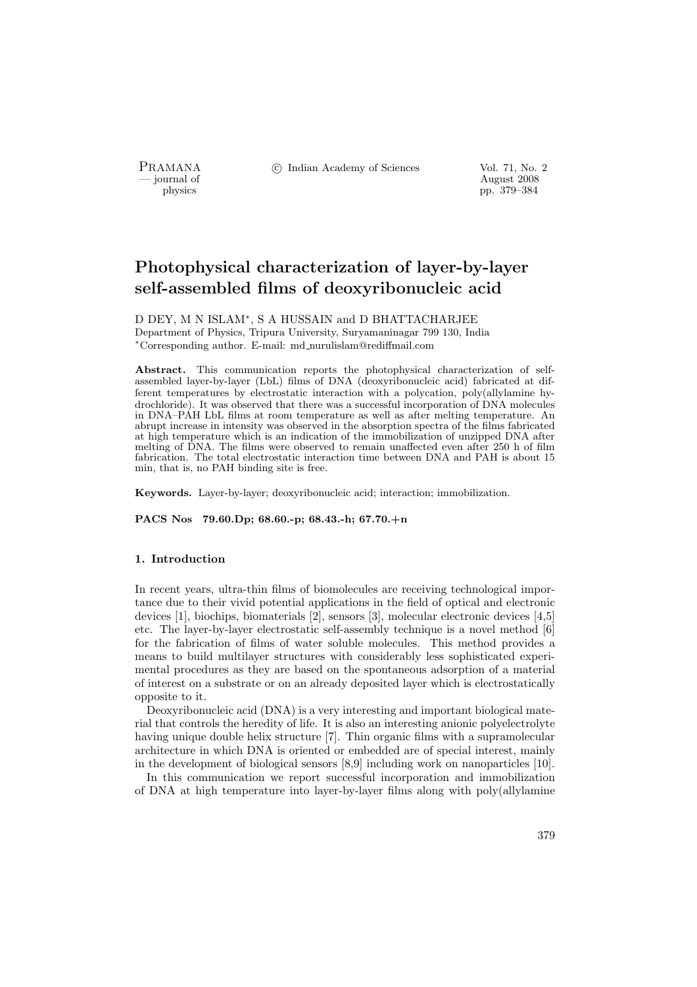PRAMANA °c Indian Academy of Sciences Vol. 71, No. 2

position of the contract of the contract of the contract 2008 physics and the contract 2008 pp. 379–384 pp. 379–384

# Photophysical characterization of layer-by-layer self-assembled films of deoxyribonucleic acid

D DEY, M N ISLAM<sup>∗</sup> , S A HUSSAIN and D BHATTACHARJEE Department of Physics, Tripura University, Suryamaninagar 799 130, India <sup>∗</sup>Corresponding author. E-mail: md nurulislam@rediffmail.com

Abstract. This communication reports the photophysical characterization of selfassembled layer-by-layer (LbL) films of DNA (deoxyribonucleic acid) fabricated at different temperatures by electrostatic interaction with a polycation, poly(allylamine hydrochloride). It was observed that there was a successful incorporation of DNA molecules in DNA–PAH LbL films at room temperature as well as after melting temperature. An abrupt increase in intensity was observed in the absorption spectra of the films fabricated at high temperature which is an indication of the immobilization of unzipped DNA after melting of DNA. The films were observed to remain unaffected even after 250 h of film fabrication. The total electrostatic interaction time between DNA and PAH is about 15 min, that is, no PAH binding site is free.

Keywords. Layer-by-layer; deoxyribonucleic acid; interaction; immobilization.

PACS Nos 79.60.Dp; 68.60.-p; 68.43.-h; 67.70.+n

## 1. Introduction

In recent years, ultra-thin films of biomolecules are receiving technological importance due to their vivid potential applications in the field of optical and electronic devices [1], biochips, biomaterials [2], sensors [3], molecular electronic devices [4,5] etc. The layer-by-layer electrostatic self-assembly technique is a novel method [6] for the fabrication of films of water soluble molecules. This method provides a means to build multilayer structures with considerably less sophisticated experimental procedures as they are based on the spontaneous adsorption of a material of interest on a substrate or on an already deposited layer which is electrostatically opposite to it.

Deoxyribonucleic acid (DNA) is a very interesting and important biological material that controls the heredity of life. It is also an interesting anionic polyelectrolyte having unique double helix structure [7]. Thin organic films with a supramolecular architecture in which DNA is oriented or embedded are of special interest, mainly in the development of biological sensors [8,9] including work on nanoparticles [10].

In this communication we report successful incorporation and immobilization of DNA at high temperature into layer-by-layer films along with poly(allylamine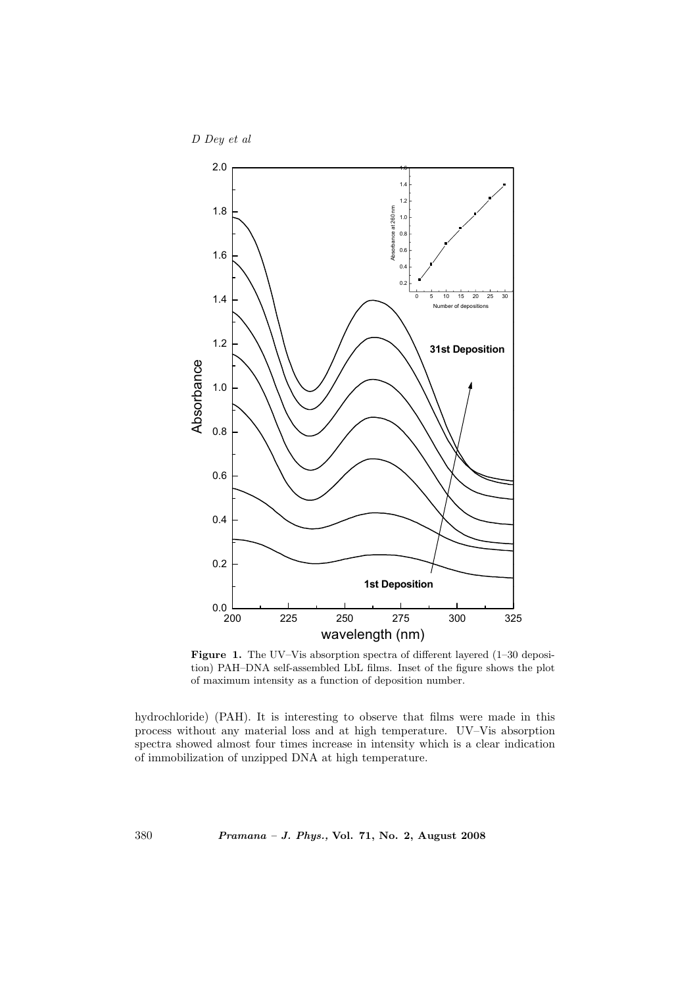D Dey et al



Figure 1. The UV–Vis absorption spectra of different layered (1–30 deposition) PAH–DNA self-assembled LbL films. Inset of the figure shows the plot of maximum intensity as a function of deposition number.

hydrochloride) (PAH). It is interesting to observe that films were made in this process without any material loss and at high temperature. UV–Vis absorption spectra showed almost four times increase in intensity which is a clear indication of immobilization of unzipped DNA at high temperature.

380 Pramana – J. Phys., Vol. 71, No. 2, August 2008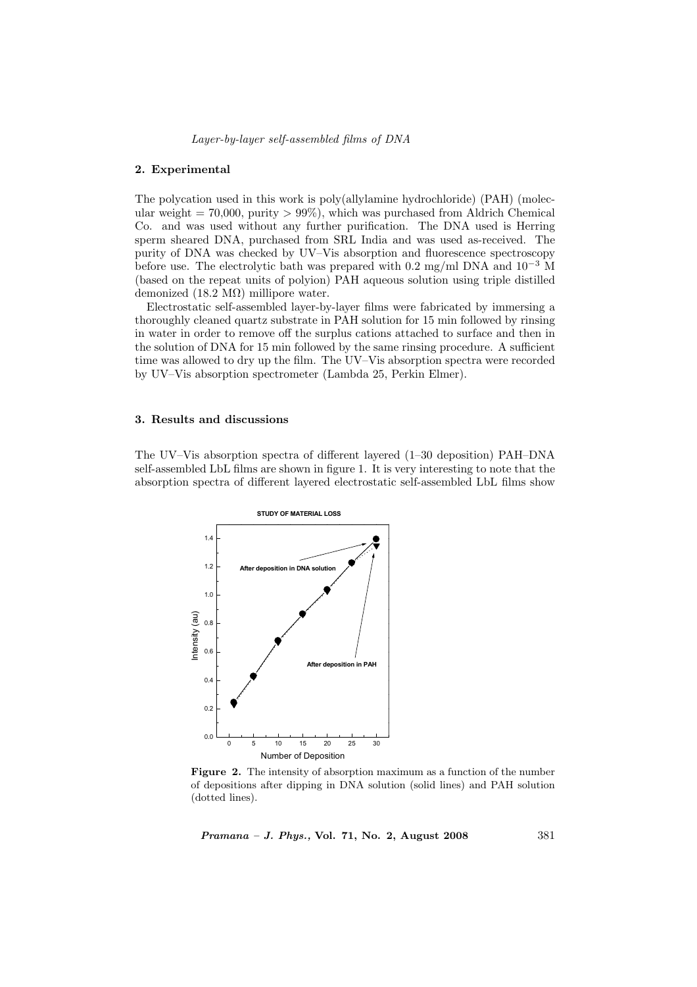Layer-by-layer self-assembled films of DNA

#### 2. Experimental

The polycation used in this work is poly(allylamine hydrochloride) (PAH) (molecular weight  $= 70,000$ , purity  $> 99\%$ ), which was purchased from Aldrich Chemical Co. and was used without any further purification. The DNA used is Herring sperm sheared DNA, purchased from SRL India and was used as-received. The purity of DNA was checked by UV–Vis absorption and fluorescence spectroscopy before use. The electrolytic bath was prepared with 0.2 mg/ml DNA and  $10^{-3}$  M (based on the repeat units of polyion) PAH aqueous solution using triple distilled demonized (18.2 MΩ) millipore water.

Electrostatic self-assembled layer-by-layer films were fabricated by immersing a thoroughly cleaned quartz substrate in PAH solution for 15 min followed by rinsing in water in order to remove off the surplus cations attached to surface and then in the solution of DNA for 15 min followed by the same rinsing procedure. A sufficient time was allowed to dry up the film. The UV–Vis absorption spectra were recorded by UV–Vis absorption spectrometer (Lambda 25, Perkin Elmer).

## 3. Results and discussions

The UV–Vis absorption spectra of different layered (1–30 deposition) PAH–DNA self-assembled LbL films are shown in figure 1. It is very interesting to note that the absorption spectra of different layered electrostatic self-assembled LbL films show



Figure 2. The intensity of absorption maximum as a function of the number of depositions after dipping in DNA solution (solid lines) and PAH solution (dotted lines).

Pramana – J. Phys., Vol. 71, No. 2, August 2008 381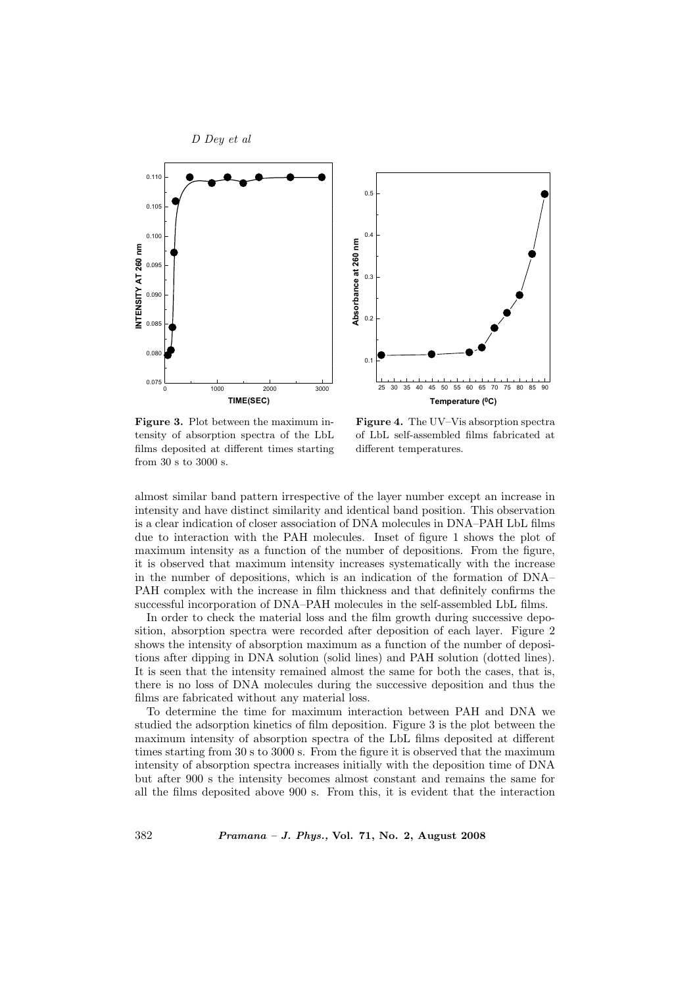

Figure 3. Plot between the maximum intensity of absorption spectra of the LbL films deposited at different times starting from 30 s to 3000 s.

Figure 4. The UV–Vis absorption spectra of LbL self-assembled films fabricated at different temperatures.

almost similar band pattern irrespective of the layer number except an increase in intensity and have distinct similarity and identical band position. This observation is a clear indication of closer association of DNA molecules in DNA–PAH LbL films due to interaction with the PAH molecules. Inset of figure 1 shows the plot of maximum intensity as a function of the number of depositions. From the figure, it is observed that maximum intensity increases systematically with the increase in the number of depositions, which is an indication of the formation of DNA– PAH complex with the increase in film thickness and that definitely confirms the successful incorporation of DNA–PAH molecules in the self-assembled LbL films.

In order to check the material loss and the film growth during successive deposition, absorption spectra were recorded after deposition of each layer. Figure 2 shows the intensity of absorption maximum as a function of the number of depositions after dipping in DNA solution (solid lines) and PAH solution (dotted lines). It is seen that the intensity remained almost the same for both the cases, that is, there is no loss of DNA molecules during the successive deposition and thus the films are fabricated without any material loss.

To determine the time for maximum interaction between PAH and DNA we studied the adsorption kinetics of film deposition. Figure 3 is the plot between the maximum intensity of absorption spectra of the LbL films deposited at different times starting from 30 s to 3000 s. From the figure it is observed that the maximum intensity of absorption spectra increases initially with the deposition time of DNA but after 900 s the intensity becomes almost constant and remains the same for all the films deposited above 900 s. From this, it is evident that the interaction

382 Pramana – J. Phys., Vol. 71, No. 2, August 2008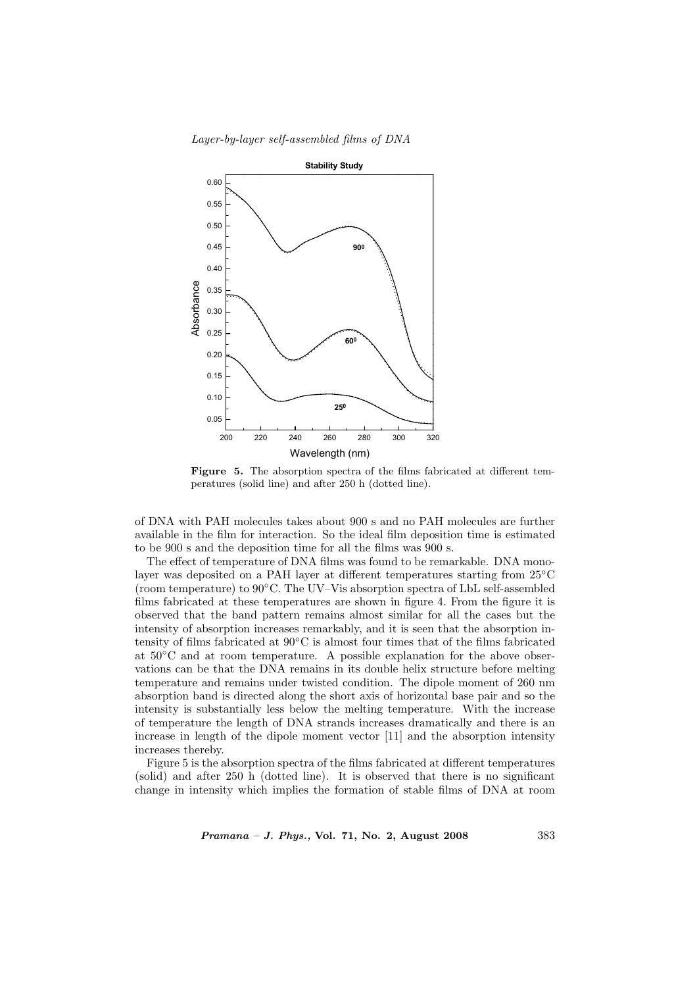Layer-by-layer self-assembled films of DNA



Figure 5. The absorption spectra of the films fabricated at different temperatures (solid line) and after 250 h (dotted line).

of DNA with PAH molecules takes about 900 s and no PAH molecules are further available in the film for interaction. So the ideal film deposition time is estimated to be 900 s and the deposition time for all the films was 900 s.

The effect of temperature of DNA films was found to be remarkable. DNA monolayer was deposited on a PAH layer at different temperatures starting from 25◦C (room temperature) to  $90\degree$ C. The UV–Vis absorption spectra of LbL self-assembled films fabricated at these temperatures are shown in figure 4. From the figure it is observed that the band pattern remains almost similar for all the cases but the intensity of absorption increases remarkably, and it is seen that the absorption intensity of films fabricated at 90◦C is almost four times that of the films fabricated at 50◦C and at room temperature. A possible explanation for the above observations can be that the DNA remains in its double helix structure before melting temperature and remains under twisted condition. The dipole moment of 260 nm absorption band is directed along the short axis of horizontal base pair and so the intensity is substantially less below the melting temperature. With the increase of temperature the length of DNA strands increases dramatically and there is an increase in length of the dipole moment vector [11] and the absorption intensity increases thereby.

Figure 5 is the absorption spectra of the films fabricated at different temperatures (solid) and after 250 h (dotted line). It is observed that there is no significant change in intensity which implies the formation of stable films of DNA at room

Pramana – J. Phys., Vol. 71, No. 2, August 2008 383